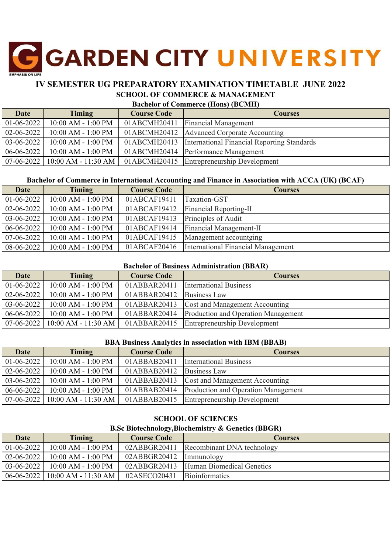# **GARDEN CITY UNIVERSITY**

# **IV SEMESTER UG PREPARATORY EXAMINATION TIMETABLE JUNE 2022 SCHOOL OF COMMERCE & MANAGEMENT**

#### **Bachelor of Commerce (Hons) (BCMH)**

| <b>Date</b>      | <b>Timing</b>                      | <b>Course Code</b> | <b>Courses</b>                                             |
|------------------|------------------------------------|--------------------|------------------------------------------------------------|
| $01-06-2022$     | 10:00 AM - 1:00 PM                 | 01ABCMH20411       | <b>Financial Management</b>                                |
| $02 - 06 - 2022$ | $10:00$ AM - $1:00$ PM             |                    | 01ABCMH20412   Advanced Corporate Accounting               |
| $03-06-2022$     | $10:00$ AM - $1:00$ PM             |                    | 01ABCMH20413   International Financial Reporting Standards |
| $06-06-2022$     | 10:00 AM - 1:00 PM                 |                    | 01ABCMH20414 Performance Management                        |
|                  | $07-06-2022$   10:00 AM - 11:30 AM |                    | 01ABCMH20415 Entrepreneurship Development                  |

### **Bachelor of Commerce in International Accounting and Finance in Association with ACCA (UK) (BCAF)**

| Date             | <b>Timing</b>          | <b>Course Code</b> | <b>Courses</b>                     |
|------------------|------------------------|--------------------|------------------------------------|
| $01 - 06 - 2022$ | $10:00$ AM - $1:00$ PM | 01ABCAF19411       | <b>Taxation-GST</b>                |
| $02 - 06 - 2022$ | $10:00$ AM - $1:00$ PM | 01ABCAF19412       | <b>Financial Reporting-II</b>      |
| 03-06-2022       | 10:00 AM - 1:00 PM     | 01ABCAF19413       | Principles of Audit                |
| 06-06-2022       | $10:00$ AM - $1:00$ PM | 01ABCAF19414       | Financial Management-II            |
| 07-06-2022       | $10:00$ AM - $1:00$ PM | 01ABCAF19415       | Management accountging             |
| $08-06-2022$     | $10:00$ AM - $1:00$ PM | 01ABCAF20416       | International Financial Management |

#### **Bachelor of Business Administration (BBAR)**

| Date             | <b>Timing</b>          | <b>Course Code</b> | <b>Courses</b>                                   |
|------------------|------------------------|--------------------|--------------------------------------------------|
| $01-06-2022$     | 10:00 AM - 1:00 PM     | 01ABBAR20411       | <b>International Business</b>                    |
| $02 - 06 - 2022$ | $10:00$ AM - $1:00$ PM | 01ABBAR20412       | <b>Business Law</b>                              |
| 03-06-2022       | $10:00$ AM - $1:00$ PM | 01ABBAR20413       | <b>Cost and Management Accounting</b>            |
| $06-06-2022$     | $10:00$ AM - $1:00$ PM |                    | 01ABBAR20414 Production and Operation Management |
| $07-06-2022$     | 10:00 AM - 11:30 AM    |                    | 01ABBAR20415 Entrepreneurship Development        |

#### **BBA Business Analytics in association with IBM (BBAB)**

| <b>Date</b>      | Timing                             | <b>Course Code</b> | <b>Courses</b>                      |
|------------------|------------------------------------|--------------------|-------------------------------------|
| $01-06-2022$     | $10:00$ AM - $1:00$ PM             | 01ABBAB20411       | <b>International Business</b>       |
| $02 - 06 - 2022$ | $10:00$ AM - $1:00$ PM             | 01ABBAB20412       | <b>Business Law</b>                 |
| $03-06-2022$     | $10:00$ AM - $1:00$ PM             | 01ABBAB20413       | Cost and Management Accounting      |
| $06 - 06 - 2022$ | $10:00$ AM - $1:00$ PM             | 01ABBAB20414       | Production and Operation Management |
|                  | $07-06-2022$   10:00 AM - 11:30 AM | 01ABBAB20415       | <b>Entrepreneurship Development</b> |

### **SCHOOL OF SCIENCES**

# **B.Sc Biotechnology,Biochemistry & Genetics (BBGR)**

| <b>Date</b>      | Timing                 | <b>Course Code</b> | Courses                                |
|------------------|------------------------|--------------------|----------------------------------------|
| $01-06-2022$     | $10:00$ AM - $1:00$ PM | 02ABBGR20411       | Recombinant DNA technology             |
| $02 - 06 - 2022$ | $10:00$ AM - $1:00$ PM | 02ABBGR20412       | Immunology                             |
| $03-06-2022$     | $10:00$ AM - $1:00$ PM |                    | 02ABBGR20413 Human Biomedical Genetics |
| $06-06-2022$     | $10:00$ AM - 11:30 AM  | 02ASECO20431       | <b>Bioinformatics</b>                  |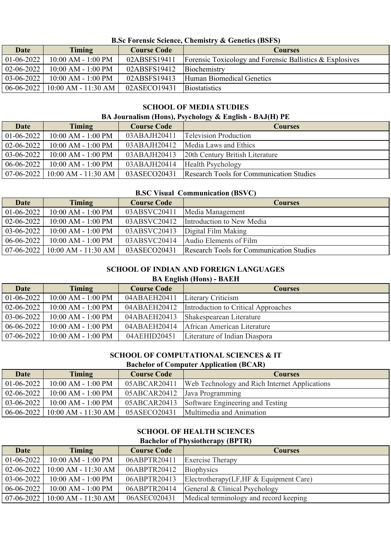**B.Sc Forensic Science, Chemistry & Genetics (BSFS)**

| Date             | <b>Timing</b>                      | <b>Course Code</b> | <b>Courses</b>                                           |
|------------------|------------------------------------|--------------------|----------------------------------------------------------|
| $01-06-2022$     | $10:00$ AM - $1:00$ PM             | 02ABSFS19411       | Forensic Toxicology and Forensic Ballistics & Explosives |
| $02 - 06 - 2022$ | $10:00$ AM - $1:00$ PM             | 02ABSFS19412       | Biochemistry                                             |
| $03-06-2022$     | $10:00$ AM - $1:00$ PM             | 02ABSFS19413       | Human Biomedical Genetics                                |
|                  | $06-06-2022$   10:00 AM - 11:30 AM | 02ASECO19431       | <b>Biostatistics</b>                                     |

# **SCHOOL OF MEDIA STUDIES**

# **BA Journalism (Hons), Psychology & English - BAJ(H) PE**

| <b>Date</b>      | Timing                                                     | <b>Course Code</b> | <b>Courses</b>                                  |
|------------------|------------------------------------------------------------|--------------------|-------------------------------------------------|
| $01 - 06 - 2022$ | $10:00$ AM - $1:00$ PM                                     | 03ABAJH20411       | <b>Television Production</b>                    |
| $02 - 06 - 2022$ | $10:00$ AM - $1:00$ PM                                     | 03ABAJH20412       | Media Laws and Ethics                           |
| $03-06-2022$     | $10:00$ AM - $1:00$ PM                                     | 03ABAJH20413       | 20th Century British Literature                 |
| $06-06-2022$     | $10:00$ AM - $1:00$ PM                                     | 03ABAJH20414       | <b>Health Psychology</b>                        |
|                  | $\mid 07-06-2022 \mid 10:00 \text{ AM} - 11:30 \text{ AM}$ | 03ASECO20431       | <b>Research Tools for Communication Studies</b> |

# **B.SC Visual Communication (BSVC)**

| <b>Date</b>  | <b>Timing</b>          | <b>Course Code</b> | <b>Courses</b>                                  |
|--------------|------------------------|--------------------|-------------------------------------------------|
| $01-06-2022$ | $10:00$ AM - 1:00 PM   | 03ABSVC20411       | Media Management                                |
| 02-06-2022   | $10:00$ AM - $1:00$ PM | 03ABSVC20412       | Introduction to New Media                       |
| 03-06-2022   | $10:00$ AM - $1:00$ PM | 03ABSVC20413       | Digital Film Making                             |
| $06-06-2022$ | $10:00$ AM - $1:00$ PM | 03ABSVC20414       | Audio Elements of Film                          |
| $07-06-2022$ | $10:00$ AM - 11:30 AM  | 03ASECO20431       | <b>Research Tools for Communication Studies</b> |

# **SCHOOL OF INDIAN AND FOREIGN LANGUAGES**

# **BA English (Hons) - BAEH**

| <b>Date</b>      | Timing                 | <b>Course Code</b> | <b>Courses</b>                      |
|------------------|------------------------|--------------------|-------------------------------------|
| $01-06-2022$     | 10:00 AM - 1:00 PM     | 04ABAEH20411       | Literary Criticism                  |
| $02 - 06 - 2022$ | $10:00$ AM - $1:00$ PM | 04ABAEH20412       | Introduction to Critical Approaches |
| $03-06-2022$     | $10:00$ AM - $1:00$ PM | 04ABAEH20413       | Shakespearean Literature            |
| $06-06-2022$     | $10:00$ AM - $1:00$ PM | 04ABAEH20414       | African American Literature         |
| $07-06-2022$     | $10:00$ AM - $1:00$ PM | 04AEHID20451       | Literature of Indian Diaspora       |

# **SCHOOL OF COMPUTATIONAL SCIENCES & IT**

# **Bachelor of Computer Application (BCAR)**

| Date             | Timing                             | <b>Course Code</b>            | <b>Courses</b>                                |
|------------------|------------------------------------|-------------------------------|-----------------------------------------------|
| $01-06-2022$     | $10:00$ AM - $1:00$ PM             | 05ABCAR20411                  | Web Technology and Rich Internet Applications |
| $02 - 06 - 2022$ | $10:00$ AM - $1:00$ PM             | 05ABCAR20412 Java Programming |                                               |
| $03-06-2022$     | $10:00$ AM - $1:00$ PM             |                               | 05ABCAR20413 Software Engineering and Testing |
|                  | $06-06-2022$   10:00 AM - 11:30 AM |                               | 05ASECO20431 Multimedia and Animation         |

# **SCHOOL OF HEALTH SCIENCES**

# **Bachelor of Physiotherapy (BPTR)**

| <b>Date</b>      | <b>Timing</b>                      | <b>Course Code</b> | <b>Courses</b>                          |
|------------------|------------------------------------|--------------------|-----------------------------------------|
| $01-06-2022$     | $10:00$ AM - $1:00$ PM             | 06ABPTR20411       | <b>Exercise Therapy</b>                 |
|                  | $02-06-2022$   10:00 AM - 11:30 AM | 06ABPTR20412       | <b>Biophysics</b>                       |
| $03-06-2022$     | 10:00 AM - 1:00 PM                 | 06ABPTR20413       | Electrotherapy(LF, HF & Equipment Care) |
| $06 - 06 - 2022$ | $10:00$ AM - $1:00$ PM             | 06ABPTR20414       | General & Clinical Psychology           |
|                  | $07-06-2022$   10:00 AM - 11:30 AM | 06ASEC020431       | Medical terminology and record keeping  |